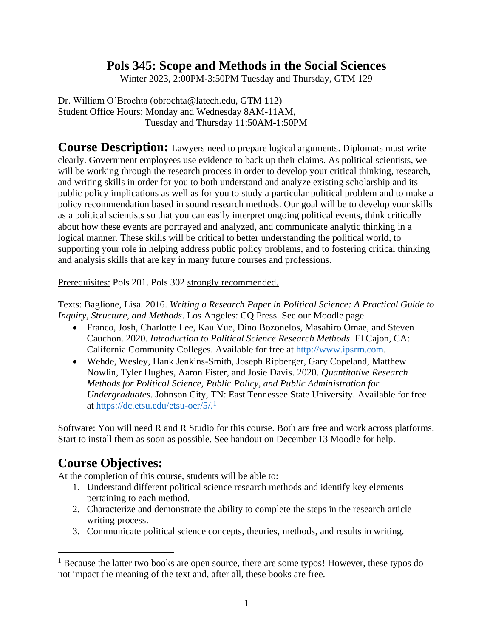# **Pols 345: Scope and Methods in the Social Sciences**

Winter 2023, 2:00PM-3:50PM Tuesday and Thursday, GTM 129

Dr. William O'Brochta (obrochta@latech.edu, GTM 112) Student Office Hours: Monday and Wednesday 8AM-11AM, Tuesday and Thursday 11:50AM-1:50PM

**Course Description:** Lawyers need to prepare logical arguments. Diplomats must write clearly. Government employees use evidence to back up their claims. As political scientists, we will be working through the research process in order to develop your critical thinking, research, and writing skills in order for you to both understand and analyze existing scholarship and its public policy implications as well as for you to study a particular political problem and to make a policy recommendation based in sound research methods. Our goal will be to develop your skills as a political scientists so that you can easily interpret ongoing political events, think critically about how these events are portrayed and analyzed, and communicate analytic thinking in a logical manner. These skills will be critical to better understanding the political world, to supporting your role in helping address public policy problems, and to fostering critical thinking and analysis skills that are key in many future courses and professions.

Prerequisites: Pols 201. Pols 302 strongly recommended.

Texts: Baglione, Lisa. 2016. *Writing a Research Paper in Political Science: A Practical Guide to Inquiry, Structure, and Methods*. Los Angeles: CQ Press. See our Moodle page.

- Franco, Josh, Charlotte Lee, Kau Vue, Dino Bozonelos, Masahiro Omae, and Steven Cauchon. 2020. *Introduction to Political Science Research Methods*. El Cajon, CA: California Community Colleges. Available for free at [http://www.ipsrm.com.](http://www.ipsrm.com/)
- Wehde, Wesley, Hank Jenkins-Smith, Joseph Ripberger, Gary Copeland, Matthew Nowlin, Tyler Hughes, Aaron Fister, and Josie Davis. 2020. *Quantitative Research Methods for Political Science, Public Policy, and Public Administration for Undergraduates*. Johnson City, TN: East Tennessee State University. Available for free at [https://dc.etsu.edu/etsu-oer/5/.](https://dc.etsu.edu/etsu-oer/5/)<sup>1</sup>

Software: You will need R and R Studio for this course. Both are free and work across platforms. Start to install them as soon as possible. See handout on December 13 Moodle for help.

# **Course Objectives:**

At the completion of this course, students will be able to:

- 1. Understand different political science research methods and identify key elements pertaining to each method.
- 2. Characterize and demonstrate the ability to complete the steps in the research article writing process.
- 3. Communicate political science concepts, theories, methods, and results in writing.

<sup>&</sup>lt;sup>1</sup> Because the latter two books are open source, there are some typos! However, these typos do not impact the meaning of the text and, after all, these books are free.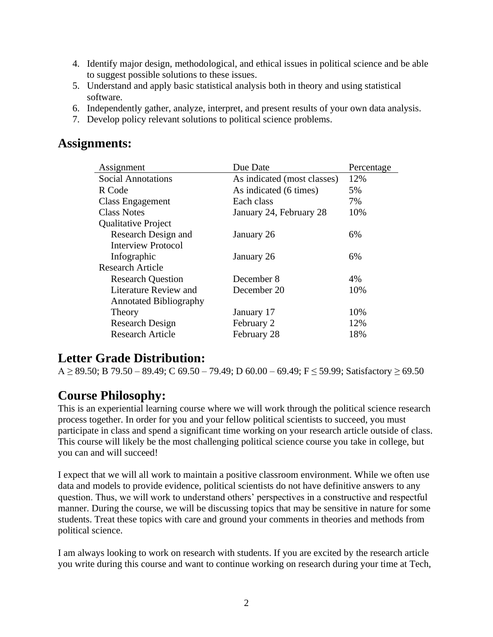- 4. Identify major design, methodological, and ethical issues in political science and be able to suggest possible solutions to these issues.
- 5. Understand and apply basic statistical analysis both in theory and using statistical software.
- 6. Independently gather, analyze, interpret, and present results of your own data analysis.
- 7. Develop policy relevant solutions to political science problems.

# **Assignments:**

| Assignment                    | Due Date                    | Percentage |
|-------------------------------|-----------------------------|------------|
| <b>Social Annotations</b>     | As indicated (most classes) | 12%        |
| R Code                        | As indicated (6 times)      | 5%         |
| <b>Class Engagement</b>       | Each class                  | 7%         |
| <b>Class Notes</b>            | January 24, February 28     | 10%        |
| <b>Qualitative Project</b>    |                             |            |
| Research Design and           | January 26                  | 6%         |
| <b>Interview Protocol</b>     |                             |            |
| Infographic                   | January 26                  | 6%         |
| <b>Research Article</b>       |                             |            |
| <b>Research Question</b>      | December 8                  | 4%         |
| Literature Review and         | December 20                 | 10%        |
| <b>Annotated Bibliography</b> |                             |            |
| Theory                        | January 17                  | 10%        |
| <b>Research Design</b>        | February 2                  | 12%        |
| <b>Research Article</b>       | February 28                 | 18%        |

# **Letter Grade Distribution:**

A ≥ 89.50; B 79.50 – 89.49; C 69.50 – 79.49; D 60.00 – 69.49; F ≤ 59.99; Satisfactory ≥ 69.50

# **Course Philosophy:**

This is an experiential learning course where we will work through the political science research process together. In order for you and your fellow political scientists to succeed, you must participate in class and spend a significant time working on your research article outside of class. This course will likely be the most challenging political science course you take in college, but you can and will succeed!

I expect that we will all work to maintain a positive classroom environment. While we often use data and models to provide evidence, political scientists do not have definitive answers to any question. Thus, we will work to understand others' perspectives in a constructive and respectful manner. During the course, we will be discussing topics that may be sensitive in nature for some students. Treat these topics with care and ground your comments in theories and methods from political science.

I am always looking to work on research with students. If you are excited by the research article you write during this course and want to continue working on research during your time at Tech,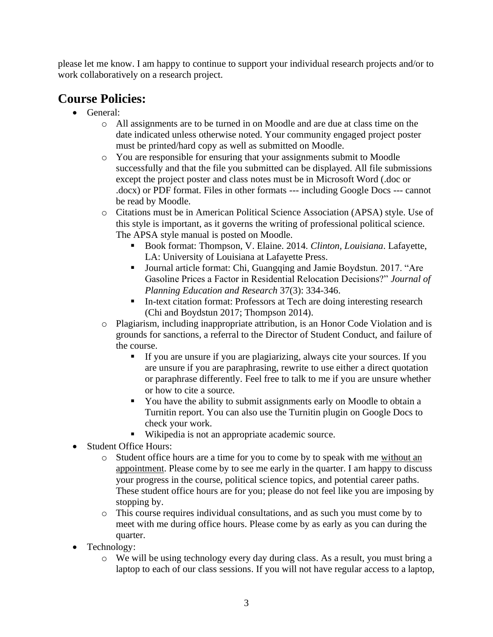please let me know. I am happy to continue to support your individual research projects and/or to work collaboratively on a research project.

# **Course Policies:**

- General:
	- o All assignments are to be turned in on Moodle and are due at class time on the date indicated unless otherwise noted. Your community engaged project poster must be printed/hard copy as well as submitted on Moodle.
	- o You are responsible for ensuring that your assignments submit to Moodle successfully and that the file you submitted can be displayed. All file submissions except the project poster and class notes must be in Microsoft Word (.doc or .docx) or PDF format. Files in other formats --- including Google Docs --- cannot be read by Moodle.
	- o Citations must be in American Political Science Association (APSA) style. Use of this style is important, as it governs the writing of professional political science. The APSA style manual is posted on Moodle.
		- Book format: Thompson, V. Elaine. 2014. *Clinton, Louisiana*. Lafayette, LA: University of Louisiana at Lafayette Press.
		- Journal article format: Chi, Guangqing and Jamie Boydstun. 2017. "Are Gasoline Prices a Factor in Residential Relocation Decisions?" *Journal of Planning Education and Research* 37(3): 334-346.
		- In-text citation format: Professors at Tech are doing interesting research (Chi and Boydstun 2017; Thompson 2014).
	- o Plagiarism, including inappropriate attribution, is an Honor Code Violation and is grounds for sanctions, a referral to the Director of Student Conduct, and failure of the course.
		- If you are unsure if you are plagiarizing, always cite your sources. If you are unsure if you are paraphrasing, rewrite to use either a direct quotation or paraphrase differently. Feel free to talk to me if you are unsure whether or how to cite a source.
		- You have the ability to submit assignments early on Moodle to obtain a Turnitin report. You can also use the Turnitin plugin on Google Docs to check your work.
		- Wikipedia is not an appropriate academic source.
- Student Office Hours:
	- o Student office hours are a time for you to come by to speak with me without an appointment. Please come by to see me early in the quarter. I am happy to discuss your progress in the course, political science topics, and potential career paths. These student office hours are for you; please do not feel like you are imposing by stopping by.
	- o This course requires individual consultations, and as such you must come by to meet with me during office hours. Please come by as early as you can during the quarter.
- Technology:
	- $\circ$  We will be using technology every day during class. As a result, you must bring a laptop to each of our class sessions. If you will not have regular access to a laptop,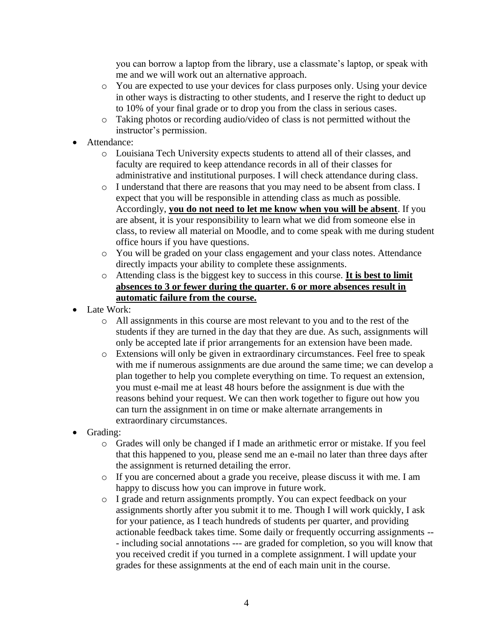you can borrow a laptop from the library, use a classmate's laptop, or speak with me and we will work out an alternative approach.

- o You are expected to use your devices for class purposes only. Using your device in other ways is distracting to other students, and I reserve the right to deduct up to 10% of your final grade or to drop you from the class in serious cases.
- o Taking photos or recording audio/video of class is not permitted without the instructor's permission.
- Attendance:
	- o Louisiana Tech University expects students to attend all of their classes, and faculty are required to keep attendance records in all of their classes for administrative and institutional purposes. I will check attendance during class.
	- o I understand that there are reasons that you may need to be absent from class. I expect that you will be responsible in attending class as much as possible. Accordingly, **you do not need to let me know when you will be absent**. If you are absent, it is your responsibility to learn what we did from someone else in class, to review all material on Moodle, and to come speak with me during student office hours if you have questions.
	- o You will be graded on your class engagement and your class notes. Attendance directly impacts your ability to complete these assignments.
	- o Attending class is the biggest key to success in this course. **It is best to limit absences to 3 or fewer during the quarter. 6 or more absences result in automatic failure from the course.**
- Late Work:
	- o All assignments in this course are most relevant to you and to the rest of the students if they are turned in the day that they are due. As such, assignments will only be accepted late if prior arrangements for an extension have been made.
	- o Extensions will only be given in extraordinary circumstances. Feel free to speak with me if numerous assignments are due around the same time; we can develop a plan together to help you complete everything on time. To request an extension, you must e-mail me at least 48 hours before the assignment is due with the reasons behind your request. We can then work together to figure out how you can turn the assignment in on time or make alternate arrangements in extraordinary circumstances.
- Grading:
	- o Grades will only be changed if I made an arithmetic error or mistake. If you feel that this happened to you, please send me an e-mail no later than three days after the assignment is returned detailing the error.
	- o If you are concerned about a grade you receive, please discuss it with me. I am happy to discuss how you can improve in future work.
	- o I grade and return assignments promptly. You can expect feedback on your assignments shortly after you submit it to me. Though I will work quickly, I ask for your patience, as I teach hundreds of students per quarter, and providing actionable feedback takes time. Some daily or frequently occurring assignments -- - including social annotations --- are graded for completion, so you will know that you received credit if you turned in a complete assignment. I will update your grades for these assignments at the end of each main unit in the course.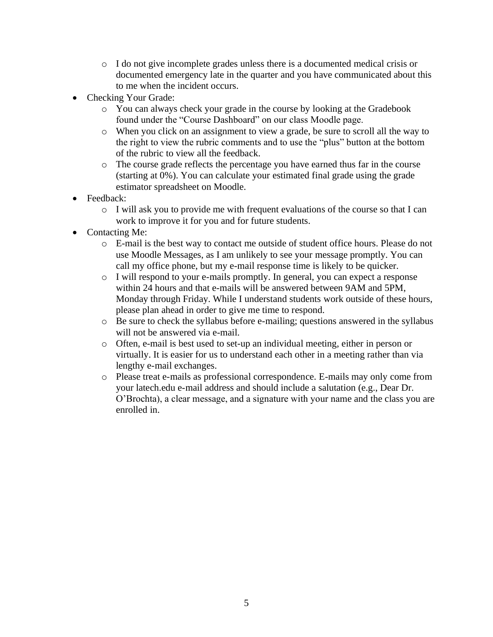- o I do not give incomplete grades unless there is a documented medical crisis or documented emergency late in the quarter and you have communicated about this to me when the incident occurs.
- Checking Your Grade:
	- o You can always check your grade in the course by looking at the Gradebook found under the "Course Dashboard" on our class Moodle page.
	- o When you click on an assignment to view a grade, be sure to scroll all the way to the right to view the rubric comments and to use the "plus" button at the bottom of the rubric to view all the feedback.
	- o The course grade reflects the percentage you have earned thus far in the course (starting at 0%). You can calculate your estimated final grade using the grade estimator spreadsheet on Moodle.
- Feedback:
	- o I will ask you to provide me with frequent evaluations of the course so that I can work to improve it for you and for future students.
- Contacting Me:
	- o E-mail is the best way to contact me outside of student office hours. Please do not use Moodle Messages, as I am unlikely to see your message promptly. You can call my office phone, but my e-mail response time is likely to be quicker.
	- o I will respond to your e-mails promptly. In general, you can expect a response within 24 hours and that e-mails will be answered between 9AM and 5PM, Monday through Friday. While I understand students work outside of these hours, please plan ahead in order to give me time to respond.
	- o Be sure to check the syllabus before e-mailing; questions answered in the syllabus will not be answered via e-mail.
	- o Often, e-mail is best used to set-up an individual meeting, either in person or virtually. It is easier for us to understand each other in a meeting rather than via lengthy e-mail exchanges.
	- o Please treat e-mails as professional correspondence. E-mails may only come from your latech.edu e-mail address and should include a salutation (e.g., Dear Dr. O'Brochta), a clear message, and a signature with your name and the class you are enrolled in.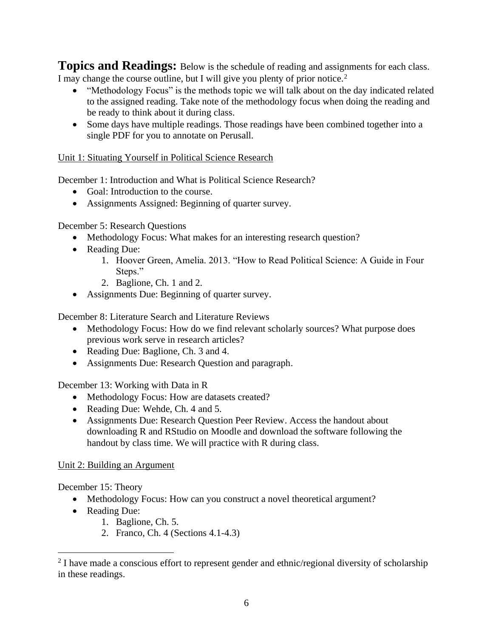**Topics and Readings:** Below is the schedule of reading and assignments for each class. I may change the course outline, but I will give you plenty of prior notice.<sup>2</sup>

- "Methodology Focus" is the methods topic we will talk about on the day indicated related to the assigned reading. Take note of the methodology focus when doing the reading and be ready to think about it during class.
- Some days have multiple readings. Those readings have been combined together into a single PDF for you to annotate on Perusall.

### Unit 1: Situating Yourself in Political Science Research

December 1: Introduction and What is Political Science Research?

- Goal: Introduction to the course.
- Assignments Assigned: Beginning of quarter survey.

December 5: Research Questions

- Methodology Focus: What makes for an interesting research question?
- Reading Due:
	- 1. Hoover Green, Amelia. 2013. "How to Read Political Science: A Guide in Four Steps."
	- 2. Baglione, Ch. 1 and 2.
- Assignments Due: Beginning of quarter survey.

December 8: Literature Search and Literature Reviews

- Methodology Focus: How do we find relevant scholarly sources? What purpose does previous work serve in research articles?
- Reading Due: Baglione, Ch. 3 and 4.
- Assignments Due: Research Question and paragraph.

December 13: Working with Data in R

- Methodology Focus: How are datasets created?
- Reading Due: Wehde, Ch. 4 and 5.
- Assignments Due: Research Question Peer Review. Access the handout about downloading R and RStudio on Moodle and download the software following the handout by class time. We will practice with R during class.

### Unit 2: Building an Argument

December 15: Theory

- Methodology Focus: How can you construct a novel theoretical argument?
- Reading Due:
	- 1. Baglione, Ch. 5.
	- 2. Franco, Ch. 4 (Sections 4.1-4.3)

<sup>&</sup>lt;sup>2</sup> I have made a conscious effort to represent gender and ethnic/regional diversity of scholarship in these readings.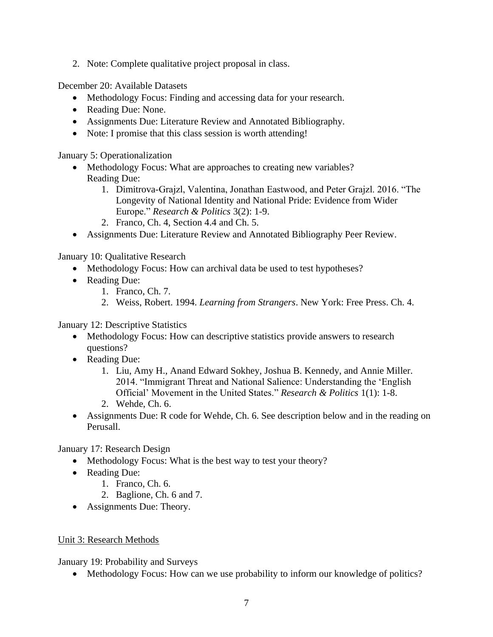2. Note: Complete qualitative project proposal in class.

December 20: Available Datasets

- Methodology Focus: Finding and accessing data for your research.
- Reading Due: None.
- Assignments Due: Literature Review and Annotated Bibliography.
- Note: I promise that this class session is worth attending!

January 5: Operationalization

- Methodology Focus: What are approaches to creating new variables? Reading Due:
	- 1. Dimitrova-Grajzl, Valentina, Jonathan Eastwood, and Peter Grajzl. 2016. "The Longevity of National Identity and National Pride: Evidence from Wider Europe." *Research & Politics* 3(2): 1-9.
	- 2. Franco, Ch. 4, Section 4.4 and Ch. 5.
- Assignments Due: Literature Review and Annotated Bibliography Peer Review.

January 10: Qualitative Research

- Methodology Focus: How can archival data be used to test hypotheses?
- Reading Due:
	- 1. Franco, Ch. 7.
	- 2. Weiss, Robert. 1994. *Learning from Strangers*. New York: Free Press. Ch. 4.

January 12: Descriptive Statistics

- Methodology Focus: How can descriptive statistics provide answers to research questions?
- Reading Due:
	- 1. Liu, Amy H., Anand Edward Sokhey, Joshua B. Kennedy, and Annie Miller. 2014. "Immigrant Threat and National Salience: Understanding the 'English Official' Movement in the United States." *Research & Politics* 1(1): 1-8.
	- 2. Wehde, Ch. 6.
- Assignments Due: R code for Wehde, Ch. 6. See description below and in the reading on Perusall.

January 17: Research Design

- Methodology Focus: What is the best way to test your theory?
- Reading Due:
	- 1. Franco, Ch. 6.
	- 2. Baglione, Ch. 6 and 7.
- Assignments Due: Theory.

### Unit 3: Research Methods

January 19: Probability and Surveys

• Methodology Focus: How can we use probability to inform our knowledge of politics?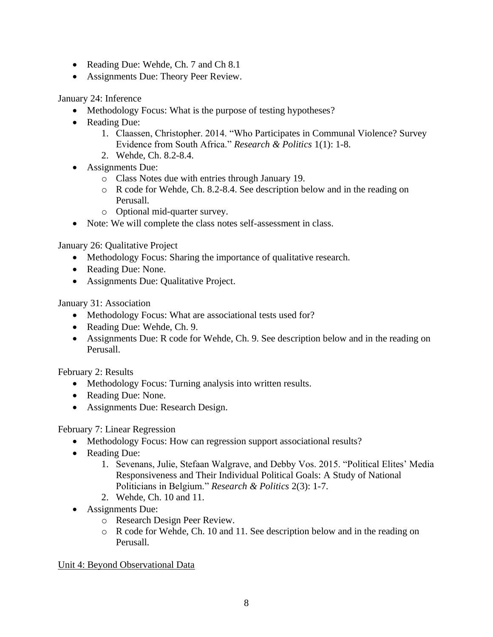- Reading Due: Wehde, Ch. 7 and Ch 8.1
- Assignments Due: Theory Peer Review.

January 24: Inference

- Methodology Focus: What is the purpose of testing hypotheses?
- Reading Due:
	- 1. Claassen, Christopher. 2014. "Who Participates in Communal Violence? Survey Evidence from South Africa." *Research & Politics* 1(1): 1-8.
	- 2. Wehde, Ch. 8.2-8.4.
- Assignments Due:
	- o Class Notes due with entries through January 19.
	- o R code for Wehde, Ch. 8.2-8.4. See description below and in the reading on Perusall.
	- o Optional mid-quarter survey.
- Note: We will complete the class notes self-assessment in class.

January 26: Qualitative Project

- Methodology Focus: Sharing the importance of qualitative research.
- Reading Due: None.
- Assignments Due: Qualitative Project.

January 31: Association

- Methodology Focus: What are associational tests used for?
- Reading Due: Wehde, Ch. 9.
- Assignments Due: R code for Wehde, Ch. 9. See description below and in the reading on Perusall.

February 2: Results

- Methodology Focus: Turning analysis into written results.
- Reading Due: None.
- Assignments Due: Research Design.

### February 7: Linear Regression

- Methodology Focus: How can regression support associational results?
- Reading Due:
	- 1. Sevenans, Julie, Stefaan Walgrave, and Debby Vos. 2015. "Political Elites' Media Responsiveness and Their Individual Political Goals: A Study of National Politicians in Belgium." *Research & Politics* 2(3): 1-7.
	- 2. Wehde, Ch. 10 and 11.
- Assignments Due:
	- o Research Design Peer Review.
	- o R code for Wehde, Ch. 10 and 11. See description below and in the reading on Perusall.

### Unit 4: Beyond Observational Data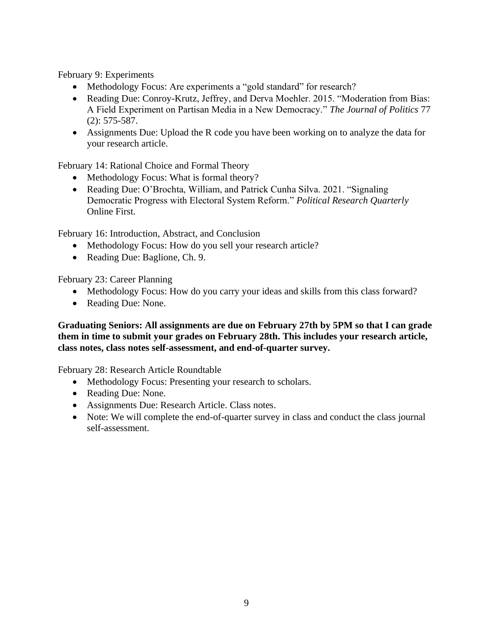February 9: Experiments

- Methodology Focus: Are experiments a "gold standard" for research?
- Reading Due: Conroy-Krutz, Jeffrey, and Derva Moehler. 2015. "Moderation from Bias: A Field Experiment on Partisan Media in a New Democracy." *The Journal of Politics* 77 (2): 575-587.
- Assignments Due: Upload the R code you have been working on to analyze the data for your research article.

February 14: Rational Choice and Formal Theory

- Methodology Focus: What is formal theory?
- Reading Due: O'Brochta, William, and Patrick Cunha Silva. 2021. "Signaling Democratic Progress with Electoral System Reform." *Political Research Quarterly* Online First.

February 16: Introduction, Abstract, and Conclusion

- Methodology Focus: How do you sell your research article?
- Reading Due: Baglione, Ch. 9.

February 23: Career Planning

- Methodology Focus: How do you carry your ideas and skills from this class forward?
- Reading Due: None.

**Graduating Seniors: All assignments are due on February 27th by 5PM so that I can grade them in time to submit your grades on February 28th. This includes your research article, class notes, class notes self-assessment, and end-of-quarter survey.**

February 28: Research Article Roundtable

- Methodology Focus: Presenting your research to scholars.
- Reading Due: None.
- Assignments Due: Research Article. Class notes.
- Note: We will complete the end-of-quarter survey in class and conduct the class journal self-assessment.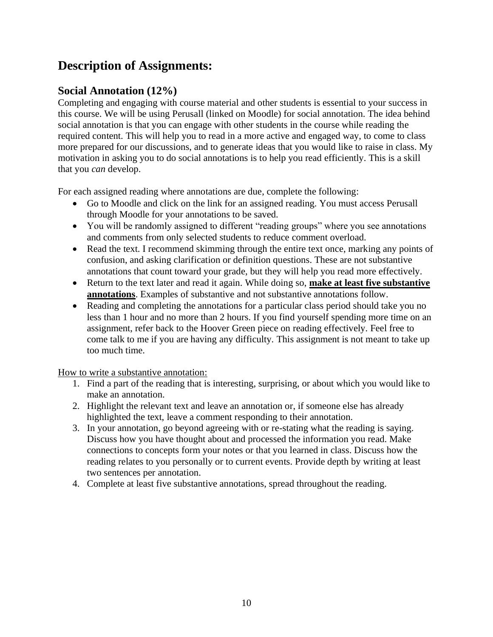# **Description of Assignments:**

## **Social Annotation (12%)**

Completing and engaging with course material and other students is essential to your success in this course. We will be using Perusall (linked on Moodle) for social annotation. The idea behind social annotation is that you can engage with other students in the course while reading the required content. This will help you to read in a more active and engaged way, to come to class more prepared for our discussions, and to generate ideas that you would like to raise in class. My motivation in asking you to do social annotations is to help you read efficiently. This is a skill that you *can* develop.

For each assigned reading where annotations are due, complete the following:

- Go to Moodle and click on the link for an assigned reading. You must access Perusall through Moodle for your annotations to be saved.
- You will be randomly assigned to different "reading groups" where you see annotations and comments from only selected students to reduce comment overload.
- Read the text. I recommend skimming through the entire text once, marking any points of confusion, and asking clarification or definition questions. These are not substantive annotations that count toward your grade, but they will help you read more effectively.
- Return to the text later and read it again. While doing so, **make at least five substantive annotations**. Examples of substantive and not substantive annotations follow.
- Reading and completing the annotations for a particular class period should take you no less than 1 hour and no more than 2 hours. If you find yourself spending more time on an assignment, refer back to the Hoover Green piece on reading effectively. Feel free to come talk to me if you are having any difficulty. This assignment is not meant to take up too much time.

How to write a substantive annotation:

- 1. Find a part of the reading that is interesting, surprising, or about which you would like to make an annotation.
- 2. Highlight the relevant text and leave an annotation or, if someone else has already highlighted the text, leave a comment responding to their annotation.
- 3. In your annotation, go beyond agreeing with or re-stating what the reading is saying. Discuss how you have thought about and processed the information you read. Make connections to concepts form your notes or that you learned in class. Discuss how the reading relates to you personally or to current events. Provide depth by writing at least two sentences per annotation.
- 4. Complete at least five substantive annotations, spread throughout the reading.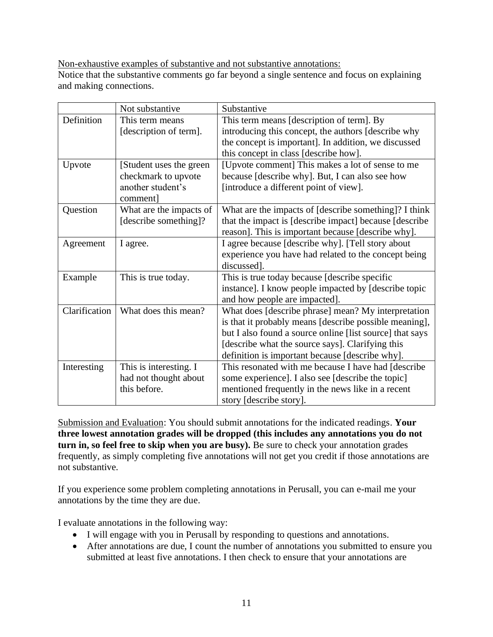Non-exhaustive examples of substantive and not substantive annotations:

Notice that the substantive comments go far beyond a single sentence and focus on explaining and making connections.

|               | Not substantive          | Substantive                                              |
|---------------|--------------------------|----------------------------------------------------------|
| Definition    | This term means          | This term means [description of term]. By                |
|               | [description of term].   | introducing this concept, the authors [describe why      |
|               |                          | the concept is important]. In addition, we discussed     |
|               |                          | this concept in class [describe how].                    |
| Upvote        | [Student uses the green] | [Upvote comment] This makes a lot of sense to me         |
|               | checkmark to upvote      | because [describe why]. But, I can also see how          |
|               | another student's        | [introduce a different point of view].                   |
|               | comment]                 |                                                          |
| Question      | What are the impacts of  | What are the impacts of [describe something]? I think    |
|               | [describe something]?    | that the impact is [describe impact] because [describe   |
|               |                          | reason]. This is important because [describe why].       |
| Agreement     | I agree.                 | I agree because [describe why]. [Tell story about        |
|               |                          | experience you have had related to the concept being     |
|               |                          | discussed].                                              |
| Example       | This is true today.      | This is true today because [describe specific]           |
|               |                          | instance]. I know people impacted by [describe topic     |
|               |                          | and how people are impacted].                            |
| Clarification | What does this mean?     | What does [describe phrase] mean? My interpretation      |
|               |                          | is that it probably means [describe possible meaning],   |
|               |                          | but I also found a source online [list source] that says |
|               |                          | [describe what the source says]. Clarifying this         |
|               |                          | definition is important because [describe why].          |
| Interesting   | This is interesting. I   | This resonated with me because I have had [describe      |
|               | had not thought about    | some experience]. I also see [describe the topic]        |
|               | this before.             | mentioned frequently in the news like in a recent        |
|               |                          | story [describe story].                                  |

Submission and Evaluation: You should submit annotations for the indicated readings. **Your three lowest annotation grades will be dropped (this includes any annotations you do not turn in, so feel free to skip when you are busy).** Be sure to check your annotation grades frequently, as simply completing five annotations will not get you credit if those annotations are not substantive.

If you experience some problem completing annotations in Perusall, you can e-mail me your annotations by the time they are due.

I evaluate annotations in the following way:

- I will engage with you in Perusall by responding to questions and annotations.
- After annotations are due, I count the number of annotations you submitted to ensure you submitted at least five annotations. I then check to ensure that your annotations are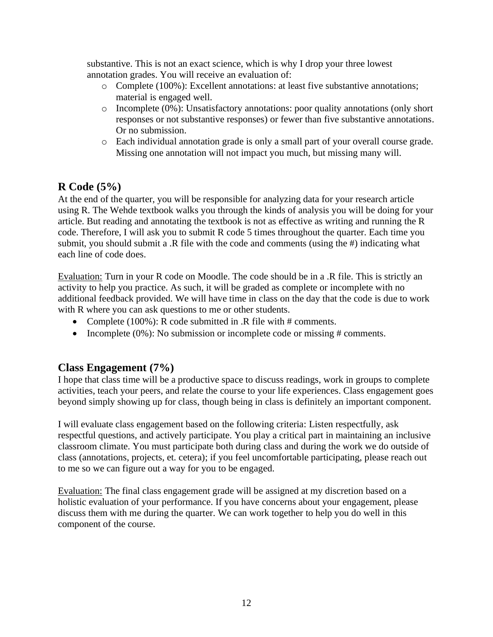substantive. This is not an exact science, which is why I drop your three lowest annotation grades. You will receive an evaluation of:

- o Complete (100%): Excellent annotations: at least five substantive annotations; material is engaged well.
- o Incomplete (0%): Unsatisfactory annotations: poor quality annotations (only short responses or not substantive responses) or fewer than five substantive annotations. Or no submission.
- o Each individual annotation grade is only a small part of your overall course grade. Missing one annotation will not impact you much, but missing many will.

## **R Code (5%)**

At the end of the quarter, you will be responsible for analyzing data for your research article using R. The Wehde textbook walks you through the kinds of analysis you will be doing for your article. But reading and annotating the textbook is not as effective as writing and running the R code. Therefore, I will ask you to submit R code 5 times throughout the quarter. Each time you submit, you should submit a .R file with the code and comments (using the #) indicating what each line of code does.

Evaluation: Turn in your R code on Moodle. The code should be in a .R file. This is strictly an activity to help you practice. As such, it will be graded as complete or incomplete with no additional feedback provided. We will have time in class on the day that the code is due to work with R where you can ask questions to me or other students.

- Complete (100%): R code submitted in .R file with # comments.
- Incomplete  $(0\%)$ : No submission or incomplete code or missing # comments.

### **Class Engagement (7%)**

I hope that class time will be a productive space to discuss readings, work in groups to complete activities, teach your peers, and relate the course to your life experiences. Class engagement goes beyond simply showing up for class, though being in class is definitely an important component.

I will evaluate class engagement based on the following criteria: Listen respectfully, ask respectful questions, and actively participate. You play a critical part in maintaining an inclusive classroom climate. You must participate both during class and during the work we do outside of class (annotations, projects, et. cetera); if you feel uncomfortable participating, please reach out to me so we can figure out a way for you to be engaged.

Evaluation: The final class engagement grade will be assigned at my discretion based on a holistic evaluation of your performance. If you have concerns about your engagement, please discuss them with me during the quarter. We can work together to help you do well in this component of the course.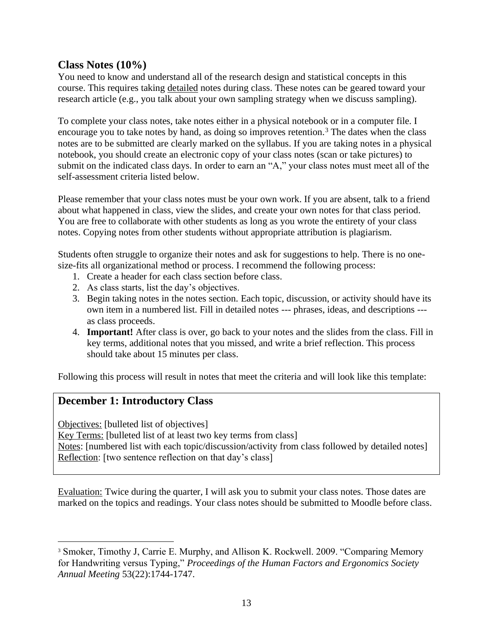### **Class Notes (10%)**

You need to know and understand all of the research design and statistical concepts in this course. This requires taking detailed notes during class. These notes can be geared toward your research article (e.g., you talk about your own sampling strategy when we discuss sampling).

To complete your class notes, take notes either in a physical notebook or in a computer file. I encourage you to take notes by hand, as doing so improves retention.<sup>3</sup> The dates when the class notes are to be submitted are clearly marked on the syllabus. If you are taking notes in a physical notebook, you should create an electronic copy of your class notes (scan or take pictures) to submit on the indicated class days. In order to earn an "A," your class notes must meet all of the self-assessment criteria listed below.

Please remember that your class notes must be your own work. If you are absent, talk to a friend about what happened in class, view the slides, and create your own notes for that class period. You are free to collaborate with other students as long as you wrote the entirety of your class notes. Copying notes from other students without appropriate attribution is plagiarism.

Students often struggle to organize their notes and ask for suggestions to help. There is no onesize-fits all organizational method or process. I recommend the following process:

- 1. Create a header for each class section before class.
- 2. As class starts, list the day's objectives.
- 3. Begin taking notes in the notes section. Each topic, discussion, or activity should have its own item in a numbered list. Fill in detailed notes --- phrases, ideas, and descriptions -- as class proceeds.
- 4. **Important!** After class is over, go back to your notes and the slides from the class. Fill in key terms, additional notes that you missed, and write a brief reflection. This process should take about 15 minutes per class.

Following this process will result in notes that meet the criteria and will look like this template:

### **December 1: Introductory Class**

Objectives: [bulleted list of objectives]

Key Terms: [bulleted list of at least two key terms from class] Notes: [numbered list with each topic/discussion/activity from class followed by detailed notes] Reflection: [two sentence reflection on that day's class]

Evaluation: Twice during the quarter, I will ask you to submit your class notes. Those dates are marked on the topics and readings. Your class notes should be submitted to Moodle before class.

<sup>&</sup>lt;sup>3</sup> Smoker, Timothy J, Carrie E. Murphy, and Allison K. Rockwell. 2009. "Comparing Memory for Handwriting versus Typing," *Proceedings of the Human Factors and Ergonomics Society Annual Meeting* 53(22):1744-1747.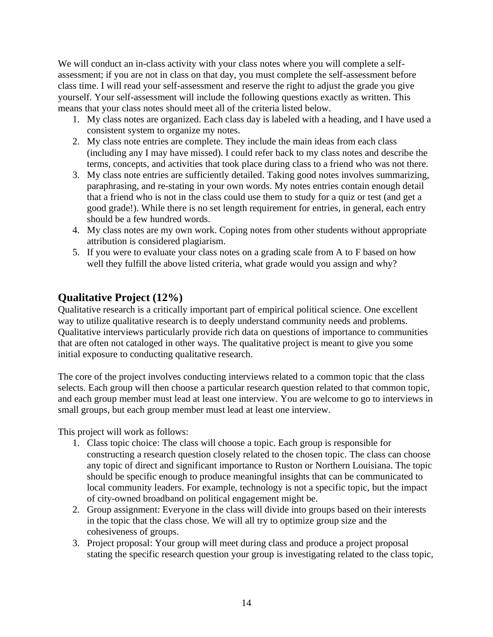We will conduct an in-class activity with your class notes where you will complete a selfassessment; if you are not in class on that day, you must complete the self-assessment before class time. I will read your self-assessment and reserve the right to adjust the grade you give yourself. Your self-assessment will include the following questions exactly as written. This means that your class notes should meet all of the criteria listed below.

- 1. My class notes are organized. Each class day is labeled with a heading, and I have used a consistent system to organize my notes.
- 2. My class note entries are complete. They include the main ideas from each class (including any I may have missed). I could refer back to my class notes and describe the terms, concepts, and activities that took place during class to a friend who was not there.
- 3. My class note entries are sufficiently detailed. Taking good notes involves summarizing, paraphrasing, and re-stating in your own words. My notes entries contain enough detail that a friend who is not in the class could use them to study for a quiz or test (and get a good grade!). While there is no set length requirement for entries, in general, each entry should be a few hundred words.
- 4. My class notes are my own work. Coping notes from other students without appropriate attribution is considered plagiarism.
- 5. If you were to evaluate your class notes on a grading scale from A to F based on how well they fulfill the above listed criteria, what grade would you assign and why?

## **Qualitative Project (12%)**

Qualitative research is a critically important part of empirical political science. One excellent way to utilize qualitative research is to deeply understand community needs and problems. Qualitative interviews particularly provide rich data on questions of importance to communities that are often not cataloged in other ways. The qualitative project is meant to give you some initial exposure to conducting qualitative research.

The core of the project involves conducting interviews related to a common topic that the class selects. Each group will then choose a particular research question related to that common topic, and each group member must lead at least one interview. You are welcome to go to interviews in small groups, but each group member must lead at least one interview.

This project will work as follows:

- 1. Class topic choice: The class will choose a topic. Each group is responsible for constructing a research question closely related to the chosen topic. The class can choose any topic of direct and significant importance to Ruston or Northern Louisiana. The topic should be specific enough to produce meaningful insights that can be communicated to local community leaders. For example, technology is not a specific topic, but the impact of city-owned broadband on political engagement might be.
- 2. Group assignment: Everyone in the class will divide into groups based on their interests in the topic that the class chose. We will all try to optimize group size and the cohesiveness of groups.
- 3. Project proposal: Your group will meet during class and produce a project proposal stating the specific research question your group is investigating related to the class topic,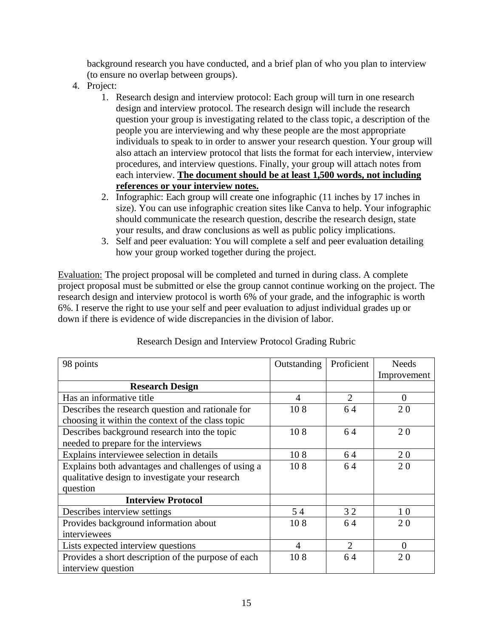background research you have conducted, and a brief plan of who you plan to interview (to ensure no overlap between groups).

- 4. Project:
	- 1. Research design and interview protocol: Each group will turn in one research design and interview protocol. The research design will include the research question your group is investigating related to the class topic, a description of the people you are interviewing and why these people are the most appropriate individuals to speak to in order to answer your research question. Your group will also attach an interview protocol that lists the format for each interview, interview procedures, and interview questions. Finally, your group will attach notes from each interview. **The document should be at least 1,500 words, not including references or your interview notes.**
	- 2. Infographic: Each group will create one infographic (11 inches by 17 inches in size). You can use infographic creation sites like Canva to help. Your infographic should communicate the research question, describe the research design, state your results, and draw conclusions as well as public policy implications.
	- 3. Self and peer evaluation: You will complete a self and peer evaluation detailing how your group worked together during the project.

Evaluation: The project proposal will be completed and turned in during class. A complete project proposal must be submitted or else the group cannot continue working on the project. The research design and interview protocol is worth 6% of your grade, and the infographic is worth 6%. I reserve the right to use your self and peer evaluation to adjust individual grades up or down if there is evidence of wide discrepancies in the division of labor.

| 98 points                                           | Outstanding    | Proficient     | <b>Needs</b> |
|-----------------------------------------------------|----------------|----------------|--------------|
|                                                     |                |                | Improvement  |
| <b>Research Design</b>                              |                |                |              |
| Has an informative title                            | $\overline{4}$ | 2              | $\theta$     |
| Describes the research question and rationale for   | 108            | 64             | 20           |
| choosing it within the context of the class topic   |                |                |              |
| Describes background research into the topic        | 108            | 64             | 20           |
| needed to prepare for the interviews                |                |                |              |
| Explains interviewee selection in details           | 108            | 64             | 20           |
| Explains both advantages and challenges of using a  | 108            | 64             | 20           |
| qualitative design to investigate your research     |                |                |              |
| question                                            |                |                |              |
| <b>Interview Protocol</b>                           |                |                |              |
| Describes interview settings                        | 54             | 32             | 10           |
| Provides background information about               | 108            | 64             | 20           |
| interviewees                                        |                |                |              |
| Lists expected interview questions                  | $\overline{4}$ | $\overline{2}$ | $\Omega$     |
| Provides a short description of the purpose of each | 108            | 64             | 20           |
| interview question                                  |                |                |              |

### Research Design and Interview Protocol Grading Rubric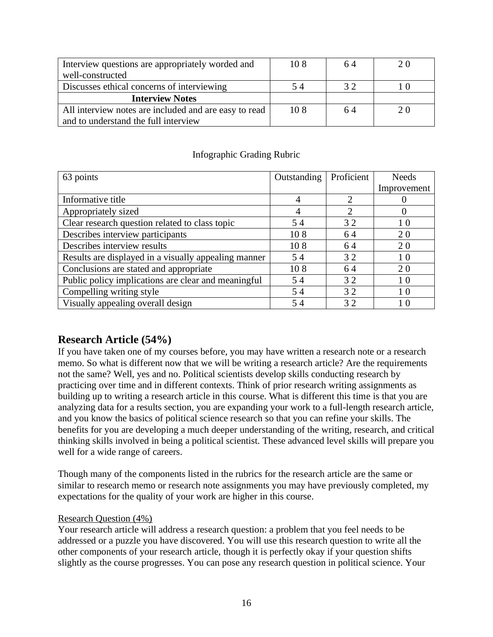| Interview questions are appropriately worded and      | 108 | 64 | 20 |
|-------------------------------------------------------|-----|----|----|
| well-constructed                                      |     |    |    |
| Discusses ethical concerns of interviewing            | 54  | 32 |    |
| <b>Interview Notes</b>                                |     |    |    |
| All interview notes are included and are easy to read | 108 | 64 | 20 |
| and to understand the full interview                  |     |    |    |

### Infographic Grading Rubric

| 63 points                                            | Outstanding | Proficient | <b>Needs</b>   |
|------------------------------------------------------|-------------|------------|----------------|
|                                                      |             |            | Improvement    |
| Informative title                                    | 4           | 2          |                |
| Appropriately sized                                  | 4           | 2          |                |
| Clear research question related to class topic       | 54          | 32         | 10             |
| Describes interview participants                     | 108         | 64         | 20             |
| Describes interview results                          | 108         | 64         | 20             |
| Results are displayed in a visually appealing manner | 54          | 32         | 10             |
| Conclusions are stated and appropriate               | 108         | 64         | 20             |
| Public policy implications are clear and meaningful  | 54          | 32         | 1 <sub>0</sub> |
| Compelling writing style                             | 54          | 32         | 10             |
| Visually appealing overall design                    | 54          | 32         | 10             |

## **Research Article (54%)**

If you have taken one of my courses before, you may have written a research note or a research memo. So what is different now that we will be writing a research article? Are the requirements not the same? Well, yes and no. Political scientists develop skills conducting research by practicing over time and in different contexts. Think of prior research writing assignments as building up to writing a research article in this course. What is different this time is that you are analyzing data for a results section, you are expanding your work to a full-length research article, and you know the basics of political science research so that you can refine your skills. The benefits for you are developing a much deeper understanding of the writing, research, and critical thinking skills involved in being a political scientist. These advanced level skills will prepare you well for a wide range of careers.

Though many of the components listed in the rubrics for the research article are the same or similar to research memo or research note assignments you may have previously completed, my expectations for the quality of your work are higher in this course.

### Research Question (4%)

Your research article will address a research question: a problem that you feel needs to be addressed or a puzzle you have discovered. You will use this research question to write all the other components of your research article, though it is perfectly okay if your question shifts slightly as the course progresses. You can pose any research question in political science. Your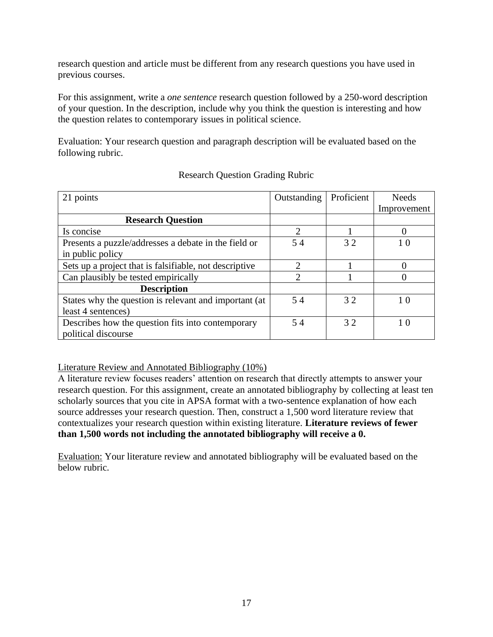research question and article must be different from any research questions you have used in previous courses.

For this assignment, write a *one sentence* research question followed by a 250-word description of your question. In the description, include why you think the question is interesting and how the question relates to contemporary issues in political science.

Evaluation: Your research question and paragraph description will be evaluated based on the following rubric.

| 21 points                                              | Outstanding                 | Proficient | Needs       |
|--------------------------------------------------------|-----------------------------|------------|-------------|
|                                                        |                             |            | Improvement |
| <b>Research Question</b>                               |                             |            |             |
| Is concise                                             | $\mathcal{D}_{\mathcal{L}}$ |            |             |
| Presents a puzzle/addresses a debate in the field or   | 54                          | 32         | 10          |
| in public policy                                       |                             |            |             |
| Sets up a project that is falsifiable, not descriptive | $\mathcal{D}_{\mathcal{A}}$ |            |             |
| Can plausibly be tested empirically                    | $\mathfrak{D}$              |            |             |
| <b>Description</b>                                     |                             |            |             |
| States why the question is relevant and important (at  | 54                          | 32         | 10          |
| least 4 sentences)                                     |                             |            |             |
| Describes how the question fits into contemporary      | 54                          | 32         | 10          |
| political discourse                                    |                             |            |             |

### Research Question Grading Rubric

Literature Review and Annotated Bibliography (10%)

A literature review focuses readers' attention on research that directly attempts to answer your research question. For this assignment, create an annotated bibliography by collecting at least ten scholarly sources that you cite in APSA format with a two-sentence explanation of how each source addresses your research question. Then, construct a 1,500 word literature review that contextualizes your research question within existing literature. **Literature reviews of fewer than 1,500 words not including the annotated bibliography will receive a 0.**

Evaluation: Your literature review and annotated bibliography will be evaluated based on the below rubric.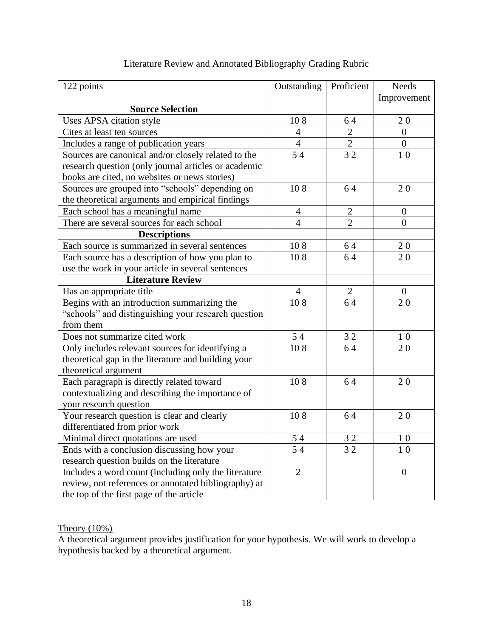| 122 points                                           | Outstanding    | Proficient     | <b>Needs</b>     |
|------------------------------------------------------|----------------|----------------|------------------|
|                                                      |                |                | Improvement      |
| <b>Source Selection</b>                              |                |                |                  |
| Uses APSA citation style                             | 108            | 64             | 20               |
| Cites at least ten sources                           | $\overline{4}$ | $\overline{c}$ | $\overline{0}$   |
| Includes a range of publication years                | $\overline{4}$ | $\overline{2}$ | $\boldsymbol{0}$ |
| Sources are canonical and/or closely related to the  | 54             | 32             | 10               |
| research question (only journal articles or academic |                |                |                  |
| books are cited, no websites or news stories)        |                |                |                  |
| Sources are grouped into "schools" depending on      | 108            | 64             | 20               |
| the theoretical arguments and empirical findings     |                |                |                  |
| Each school has a meaningful name                    | $\overline{4}$ | $\mathbf{2}$   | $\boldsymbol{0}$ |
| There are several sources for each school            | $\overline{4}$ | $\overline{2}$ | $\overline{0}$   |
| <b>Descriptions</b>                                  |                |                |                  |
| Each source is summarized in several sentences       | 108            | 64             | 20               |
| Each source has a description of how you plan to     | 108            | 64             | 20               |
| use the work in your article in several sentences    |                |                |                  |
| <b>Literature Review</b>                             |                |                |                  |
| Has an appropriate title                             | $\overline{4}$ | $\overline{2}$ | $\boldsymbol{0}$ |
| Begins with an introduction summarizing the          | 108            | 64             | 20               |
| "schools" and distinguishing your research question  |                |                |                  |
| from them                                            |                |                |                  |
| Does not summarize cited work                        | 54             | 32             | 1 <sub>0</sub>   |
| Only includes relevant sources for identifying a     | 108            | 64             | 20               |
| theoretical gap in the literature and building your  |                |                |                  |
| theoretical argument                                 |                |                |                  |
| Each paragraph is directly related toward            | 108            | 64             | 20               |
| contextualizing and describing the importance of     |                |                |                  |
| your research question                               |                |                |                  |
| Your research question is clear and clearly          | 108            | 64             | 20               |
| differentiated from prior work                       |                |                |                  |
| Minimal direct quotations are used                   | 54             | 32             | 10               |
| Ends with a conclusion discussing how your           | 54             | 32             | 10               |
| research question builds on the literature           |                |                |                  |
| Includes a word count (including only the literature | $\overline{2}$ |                | $\boldsymbol{0}$ |
| review, not references or annotated bibliography) at |                |                |                  |
| the top of the first page of the article             |                |                |                  |

## Literature Review and Annotated Bibliography Grading Rubric

## Theory  $(10\%)$

A theoretical argument provides justification for your hypothesis. We will work to develop a hypothesis backed by a theoretical argument.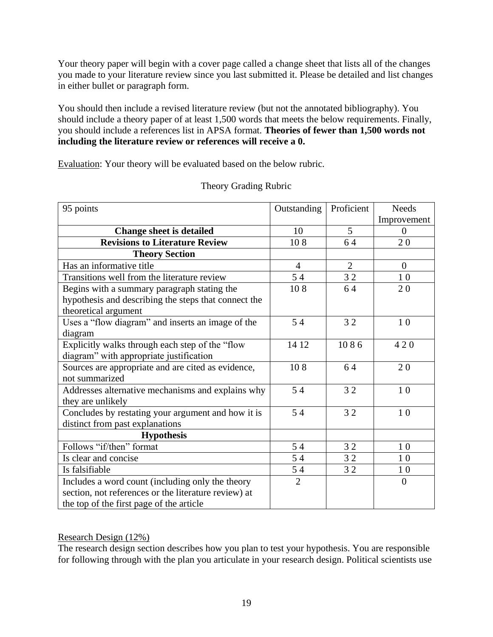Your theory paper will begin with a cover page called a change sheet that lists all of the changes you made to your literature review since you last submitted it. Please be detailed and list changes in either bullet or paragraph form.

You should then include a revised literature review (but not the annotated bibliography). You should include a theory paper of at least 1,500 words that meets the below requirements. Finally, you should include a references list in APSA format. **Theories of fewer than 1,500 words not including the literature review or references will receive a 0.**

Evaluation: Your theory will be evaluated based on the below rubric.

| 95 points                                            | Outstanding    | Proficient     | <b>Needs</b>   |
|------------------------------------------------------|----------------|----------------|----------------|
|                                                      |                |                | Improvement    |
| <b>Change sheet is detailed</b>                      | 10             | $\mathfrak{H}$ | $\Omega$       |
| <b>Revisions to Literature Review</b>                | 108            | 64             | 20             |
| <b>Theory Section</b>                                |                |                |                |
| Has an informative title                             | $\overline{4}$ | $\overline{2}$ | $\overline{0}$ |
| Transitions well from the literature review          | 54             | 32             | 10             |
| Begins with a summary paragraph stating the          | 108            | 64             | 20             |
| hypothesis and describing the steps that connect the |                |                |                |
| theoretical argument                                 |                |                |                |
| Uses a "flow diagram" and inserts an image of the    | 54             | 32             | 10             |
| diagram                                              |                |                |                |
| Explicitly walks through each step of the "flow      | 14 12          | 1086           | 420            |
| diagram" with appropriate justification              |                |                |                |
| Sources are appropriate and are cited as evidence,   | 108            | 64             | 20             |
| not summarized                                       |                |                |                |
| Addresses alternative mechanisms and explains why    | 54             | 32             | 10             |
| they are unlikely                                    |                |                |                |
| Concludes by restating your argument and how it is   | 54             | 32             | 10             |
| distinct from past explanations                      |                |                |                |
| <b>Hypothesis</b>                                    |                |                |                |
| Follows "if/then" format                             | 54             | 32             | 10             |
| Is clear and concise                                 | 54             | 32             | 10             |
| Is falsifiable                                       | 54             | 32             | 10             |
| Includes a word count (including only the theory     | $\overline{2}$ |                | $\overline{0}$ |
| section, not references or the literature review) at |                |                |                |
| the top of the first page of the article             |                |                |                |

### Theory Grading Rubric

### Research Design (12%)

The research design section describes how you plan to test your hypothesis. You are responsible for following through with the plan you articulate in your research design. Political scientists use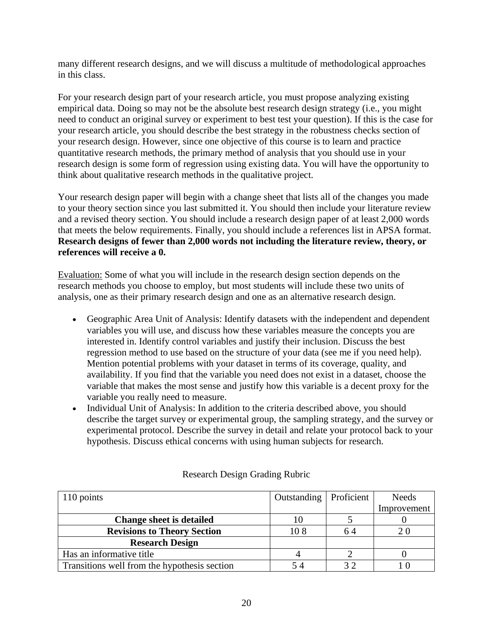many different research designs, and we will discuss a multitude of methodological approaches in this class.

For your research design part of your research article, you must propose analyzing existing empirical data. Doing so may not be the absolute best research design strategy (i.e., you might need to conduct an original survey or experiment to best test your question). If this is the case for your research article, you should describe the best strategy in the robustness checks section of your research design. However, since one objective of this course is to learn and practice quantitative research methods, the primary method of analysis that you should use in your research design is some form of regression using existing data. You will have the opportunity to think about qualitative research methods in the qualitative project.

Your research design paper will begin with a change sheet that lists all of the changes you made to your theory section since you last submitted it. You should then include your literature review and a revised theory section. You should include a research design paper of at least 2,000 words that meets the below requirements. Finally, you should include a references list in APSA format. **Research designs of fewer than 2,000 words not including the literature review, theory, or references will receive a 0.**

Evaluation: Some of what you will include in the research design section depends on the research methods you choose to employ, but most students will include these two units of analysis, one as their primary research design and one as an alternative research design.

- Geographic Area Unit of Analysis: Identify datasets with the independent and dependent variables you will use, and discuss how these variables measure the concepts you are interested in. Identify control variables and justify their inclusion. Discuss the best regression method to use based on the structure of your data (see me if you need help). Mention potential problems with your dataset in terms of its coverage, quality, and availability. If you find that the variable you need does not exist in a dataset, choose the variable that makes the most sense and justify how this variable is a decent proxy for the variable you really need to measure.
- Individual Unit of Analysis: In addition to the criteria described above, you should describe the target survey or experimental group, the sampling strategy, and the survey or experimental protocol. Describe the survey in detail and relate your protocol back to your hypothesis. Discuss ethical concerns with using human subjects for research.

| 110 points                                   | Outstanding   Proficient |     | <b>Needs</b> |
|----------------------------------------------|--------------------------|-----|--------------|
|                                              |                          |     | Improvement  |
| <b>Change sheet is detailed</b>              |                          |     |              |
| <b>Revisions to Theory Section</b>           | 108                      | 64  |              |
| <b>Research Design</b>                       |                          |     |              |
| Has an informative title                     |                          |     |              |
| Transitions well from the hypothesis section |                          | 3 つ |              |

### Research Design Grading Rubric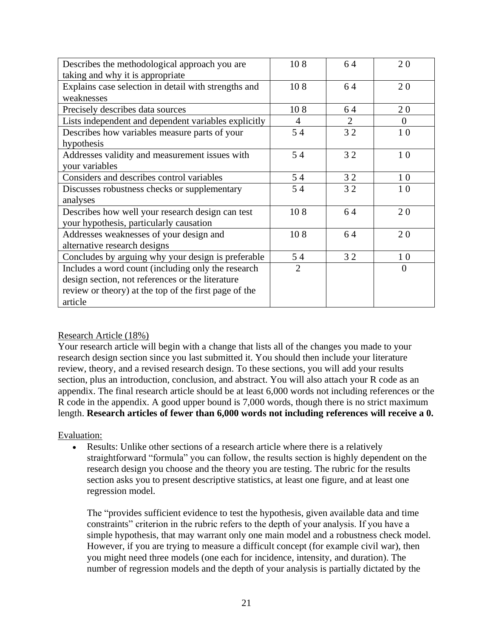| Describes the methodological approach you are         | 108            | 64             | 20       |
|-------------------------------------------------------|----------------|----------------|----------|
| taking and why it is appropriate                      |                |                |          |
| Explains case selection in detail with strengths and  | 108            | 64             | 20       |
| weaknesses                                            |                |                |          |
| Precisely describes data sources                      | 108            | 64             | 20       |
| Lists independent and dependent variables explicitly  | 4              | $\overline{2}$ | $\Omega$ |
| Describes how variables measure parts of your         | 54             | 32             | 10       |
| hypothesis                                            |                |                |          |
| Addresses validity and measurement issues with        | 54             | 32             | 10       |
| your variables                                        |                |                |          |
| Considers and describes control variables             | 54             | 32             | 10       |
| Discusses robustness checks or supplementary          | 54             | 32             | 10       |
| analyses                                              |                |                |          |
| Describes how well your research design can test      | 108            | 64             | 20       |
| your hypothesis, particularly causation               |                |                |          |
| Addresses weaknesses of your design and               | 108            | 64             | 20       |
| alternative research designs                          |                |                |          |
| Concludes by arguing why your design is preferable    | 54             | 32             | 10       |
| Includes a word count (including only the research    | $\overline{2}$ |                | $\Omega$ |
| design section, not references or the literature      |                |                |          |
| review or theory) at the top of the first page of the |                |                |          |
| article                                               |                |                |          |

### Research Article (18%)

Your research article will begin with a change that lists all of the changes you made to your research design section since you last submitted it. You should then include your literature review, theory, and a revised research design. To these sections, you will add your results section, plus an introduction, conclusion, and abstract. You will also attach your R code as an appendix. The final research article should be at least 6,000 words not including references or the R code in the appendix. A good upper bound is 7,000 words, though there is no strict maximum length. **Research articles of fewer than 6,000 words not including references will receive a 0.**

### Evaluation:

Results: Unlike other sections of a research article where there is a relatively straightforward "formula" you can follow, the results section is highly dependent on the research design you choose and the theory you are testing. The rubric for the results section asks you to present descriptive statistics, at least one figure, and at least one regression model.

The "provides sufficient evidence to test the hypothesis, given available data and time constraints" criterion in the rubric refers to the depth of your analysis. If you have a simple hypothesis, that may warrant only one main model and a robustness check model. However, if you are trying to measure a difficult concept (for example civil war), then you might need three models (one each for incidence, intensity, and duration). The number of regression models and the depth of your analysis is partially dictated by the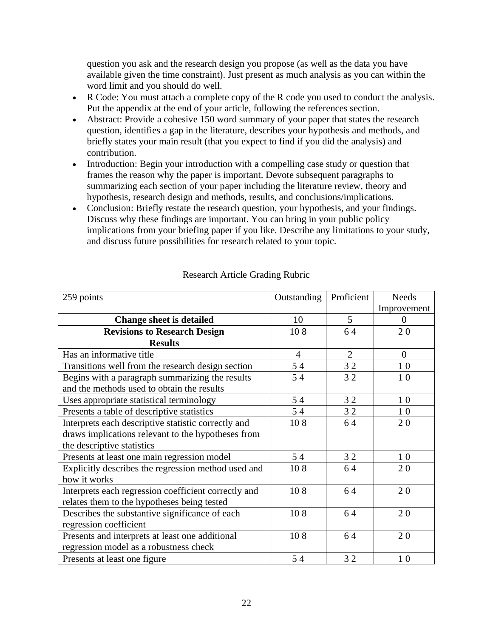question you ask and the research design you propose (as well as the data you have available given the time constraint). Just present as much analysis as you can within the word limit and you should do well.

- R Code: You must attach a complete copy of the R code you used to conduct the analysis. Put the appendix at the end of your article, following the references section.
- Abstract: Provide a cohesive 150 word summary of your paper that states the research question, identifies a gap in the literature, describes your hypothesis and methods, and briefly states your main result (that you expect to find if you did the analysis) and contribution.
- Introduction: Begin your introduction with a compelling case study or question that frames the reason why the paper is important. Devote subsequent paragraphs to summarizing each section of your paper including the literature review, theory and hypothesis, research design and methods, results, and conclusions/implications.
- Conclusion: Briefly restate the research question, your hypothesis, and your findings. Discuss why these findings are important. You can bring in your public policy implications from your briefing paper if you like. Describe any limitations to your study, and discuss future possibilities for research related to your topic.

| 259 points                                           | Outstanding    | Proficient     | <b>Needs</b>   |
|------------------------------------------------------|----------------|----------------|----------------|
|                                                      |                |                | Improvement    |
| <b>Change sheet is detailed</b>                      | 10             | 5              | $\overline{0}$ |
| <b>Revisions to Research Design</b>                  | 108            | 64             | 20             |
| <b>Results</b>                                       |                |                |                |
| Has an informative title                             | $\overline{4}$ | $\overline{2}$ | $\mathbf{0}$   |
| Transitions well from the research design section    | 54             | 32             | 10             |
| Begins with a paragraph summarizing the results      | 54             | 32             | 10             |
| and the methods used to obtain the results           |                |                |                |
| Uses appropriate statistical terminology             | 54             | 32             | 10             |
| Presents a table of descriptive statistics           | 54             | 32             | 10             |
| Interprets each descriptive statistic correctly and  | 108            | 64             | 20             |
| draws implications relevant to the hypotheses from   |                |                |                |
| the descriptive statistics                           |                |                |                |
| Presents at least one main regression model          | 54             | 32             | 10             |
| Explicitly describes the regression method used and  | 108            | 64             | 20             |
| how it works                                         |                |                |                |
| Interprets each regression coefficient correctly and | 108            | 64             | 20             |
| relates them to the hypotheses being tested          |                |                |                |
| Describes the substantive significance of each       | 108            | 64             | 20             |
| regression coefficient                               |                |                |                |
| Presents and interprets at least one additional      | 108            | 64             | 20             |
| regression model as a robustness check               |                |                |                |
| Presents at least one figure                         | 54             | 32             | 10             |

### Research Article Grading Rubric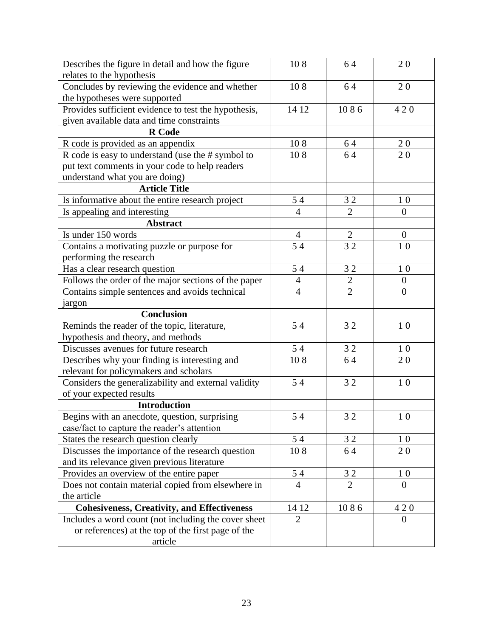| Describes the figure in detail and how the figure    | 108            | 64             | 20               |
|------------------------------------------------------|----------------|----------------|------------------|
| relates to the hypothesis                            |                |                |                  |
| Concludes by reviewing the evidence and whether      | 108            | 64             | 20               |
| the hypotheses were supported                        |                |                |                  |
| Provides sufficient evidence to test the hypothesis, | 14 12          | 1086           | 420              |
| given available data and time constraints            |                |                |                  |
| <b>R</b> Code                                        |                |                |                  |
| R code is provided as an appendix                    | 108            | 64             | 20               |
| R code is easy to understand (use the # symbol to    | 108            | 64             | 20               |
| put text comments in your code to help readers       |                |                |                  |
| understand what you are doing)                       |                |                |                  |
| <b>Article Title</b>                                 |                |                |                  |
| Is informative about the entire research project     | 54             | 32             | 10               |
| Is appealing and interesting                         | $\overline{4}$ | $\overline{2}$ | $\boldsymbol{0}$ |
| <b>Abstract</b>                                      |                |                |                  |
| Is under 150 words                                   | $\overline{4}$ | $\overline{2}$ | $\overline{0}$   |
| Contains a motivating puzzle or purpose for          | 54             | 32             | 10               |
| performing the research                              |                |                |                  |
| Has a clear research question                        | 54             | 32             | 1 <sub>0</sub>   |
| Follows the order of the major sections of the paper | $\overline{4}$ |                | $\boldsymbol{0}$ |
| Contains simple sentences and avoids technical       | $\overline{4}$ | $\frac{2}{2}$  | $\overline{0}$   |
| jargon                                               |                |                |                  |
| <b>Conclusion</b>                                    |                |                |                  |
| Reminds the reader of the topic, literature,         | 54             | 32             | 10               |
| hypothesis and theory, and methods                   |                |                |                  |
| Discusses avenues for future research                | 54             | 32             | 1 <sub>0</sub>   |
| Describes why your finding is interesting and        | 108            | 64             | 20               |
| relevant for policymakers and scholars               |                |                |                  |
| Considers the generalizability and external validity | 54             | 32             | 10               |
| of your expected results                             |                |                |                  |
| <b>Introduction</b>                                  |                |                |                  |
| Begins with an anecdote, question, surprising        | 54             | 32             | 10               |
| case/fact to capture the reader's attention          |                |                |                  |
| States the research question clearly                 | 54             | 32             | 10               |
| Discusses the importance of the research question    | 108            | 64             | 20               |
| and its relevance given previous literature          |                |                |                  |
| Provides an overview of the entire paper             | 54             | 32             | 1 <sub>0</sub>   |
| Does not contain material copied from elsewhere in   | $\overline{4}$ | $\overline{2}$ | $\Omega$         |
| the article                                          |                |                |                  |
| <b>Cohesiveness, Creativity, and Effectiveness</b>   | 14 12          | 1086           | 420              |
| Includes a word count (not including the cover sheet | $\overline{2}$ |                | $\overline{0}$   |
| or references) at the top of the first page of the   |                |                |                  |
| article                                              |                |                |                  |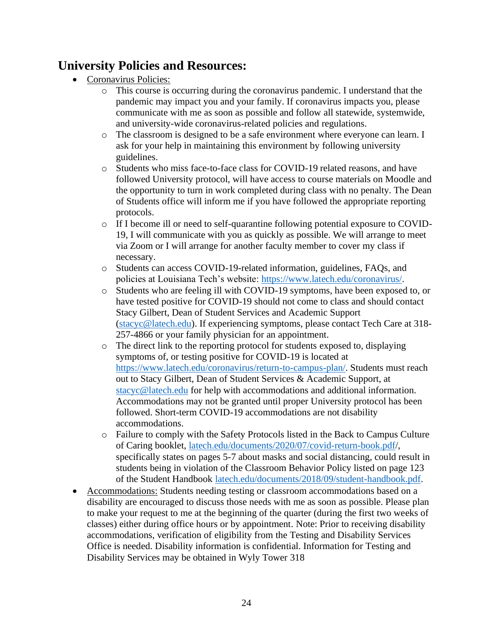# **University Policies and Resources:**

- Coronavirus Policies:
	- o This course is occurring during the coronavirus pandemic. I understand that the pandemic may impact you and your family. If coronavirus impacts you, please communicate with me as soon as possible and follow all statewide, systemwide, and university-wide coronavirus-related policies and regulations.
	- o The classroom is designed to be a safe environment where everyone can learn. I ask for your help in maintaining this environment by following university guidelines.
	- o Students who miss face-to-face class for COVID-19 related reasons, and have followed University protocol, will have access to course materials on Moodle and the opportunity to turn in work completed during class with no penalty. The Dean of Students office will inform me if you have followed the appropriate reporting protocols.
	- o If I become ill or need to self-quarantine following potential exposure to COVID-19, I will communicate with you as quickly as possible. We will arrange to meet via Zoom or I will arrange for another faculty member to cover my class if necessary.
	- o Students can access COVID-19-related information, guidelines, FAQs, and policies at Louisiana Tech's website: [https://www.latech.edu/coronavirus/.](https://www.latech.edu/coronavirus/)
	- o Students who are feeling ill with COVID-19 symptoms, have been exposed to, or have tested positive for COVID-19 should not come to class and should contact Stacy Gilbert, Dean of Student Services and Academic Support [\(stacyc@latech.edu\)](mailto:stacyc@latech.edu). If experiencing symptoms, please contact Tech Care at 318- 257-4866 or your family physician for an appointment.
	- o The direct link to the reporting protocol for students exposed to, displaying symptoms of, or testing positive for COVID-19 is located at [https://www.latech.edu/coronavirus/return-to-campus-plan/.](https://www.latech.edu/coronavirus/return-to-campus-plan/for-students/) Students must reach out to Stacy Gilbert, Dean of Student Services & Academic Support, at [stacyc@latech.edu](mailto:stacyc@latech.edu) for help with accommodations and additional information. Accommodations may not be granted until proper University protocol has been followed. Short-term COVID-19 accommodations are not disability accommodations.
	- o Failure to comply with the Safety Protocols listed in the Back to Campus Culture of Caring booklet, [latech.edu/documents/2020/07/covid-return-book.pdf/](http://latech.edu/documents/2020/07/covid-return-book.pdf), specifically states on pages 5-7 about masks and social distancing, could result in students being in violation of the Classroom Behavior Policy listed on page 123 of the Student Handbook [latech.edu/documents/2018/09/student-handbook.pdf.](http://latech.edu/documents/2018/09/student-handbook.pdf)
- Accommodations: Students needing testing or classroom accommodations based on a disability are encouraged to discuss those needs with me as soon as possible. Please plan to make your request to me at the beginning of the quarter (during the first two weeks of classes) either during office hours or by appointment. Note: Prior to receiving disability accommodations, verification of eligibility from the Testing and Disability Services Office is needed. Disability information is confidential. Information for Testing and Disability Services may be obtained in Wyly Tower 318